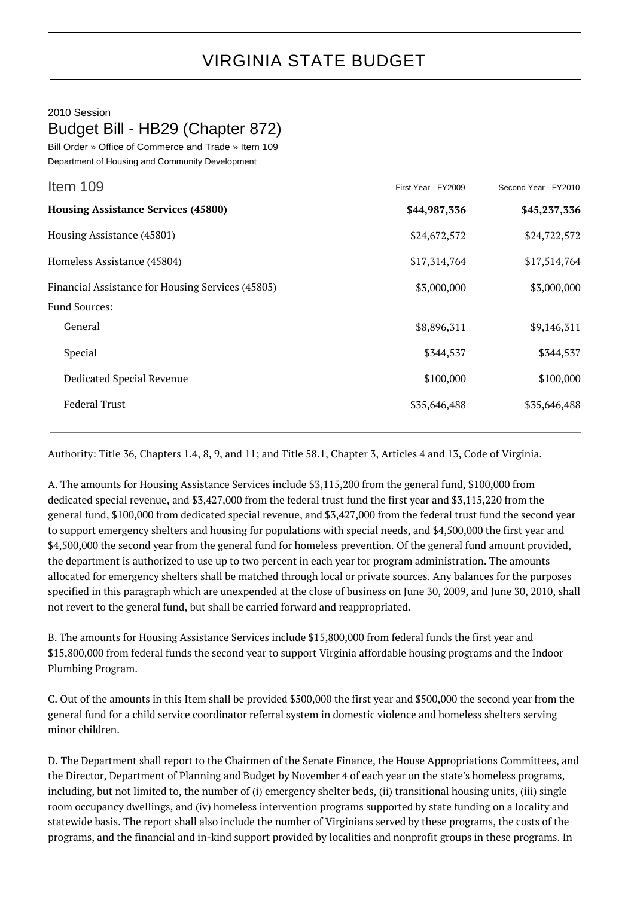## 2010 Session Budget Bill - HB29 (Chapter 872)

Bill Order » Office of Commerce and Trade » Item 109 Department of Housing and Community Development

| Item 109                                          | First Year - FY2009 | Second Year - FY2010 |
|---------------------------------------------------|---------------------|----------------------|
| <b>Housing Assistance Services (45800)</b>        | \$44,987,336        | \$45,237,336         |
| Housing Assistance (45801)                        | \$24,672,572        | \$24,722,572         |
| Homeless Assistance (45804)                       | \$17,314,764        | \$17,514,764         |
| Financial Assistance for Housing Services (45805) | \$3,000,000         | \$3,000,000          |
| <b>Fund Sources:</b>                              |                     |                      |
| General                                           | \$8,896,311         | \$9,146,311          |
| Special                                           | \$344,537           | \$344,537            |
| Dedicated Special Revenue                         | \$100,000           | \$100,000            |
| <b>Federal Trust</b>                              | \$35,646,488        | \$35,646,488         |

Authority: Title 36, Chapters 1.4, 8, 9, and 11; and Title 58.1, Chapter 3, Articles 4 and 13, Code of Virginia.

A. The amounts for Housing Assistance Services include \$3,115,200 from the general fund, \$100,000 from dedicated special revenue, and \$3,427,000 from the federal trust fund the first year and \$3,115,220 from the general fund, \$100,000 from dedicated special revenue, and \$3,427,000 from the federal trust fund the second year to support emergency shelters and housing for populations with special needs, and \$4,500,000 the first year and \$4,500,000 the second year from the general fund for homeless prevention. Of the general fund amount provided, the department is authorized to use up to two percent in each year for program administration. The amounts allocated for emergency shelters shall be matched through local or private sources. Any balances for the purposes specified in this paragraph which are unexpended at the close of business on June 30, 2009, and June 30, 2010, shall not revert to the general fund, but shall be carried forward and reappropriated.

B. The amounts for Housing Assistance Services include \$15,800,000 from federal funds the first year and \$15,800,000 from federal funds the second year to support Virginia affordable housing programs and the Indoor Plumbing Program.

C. Out of the amounts in this Item shall be provided \$500,000 the first year and \$500,000 the second year from the general fund for a child service coordinator referral system in domestic violence and homeless shelters serving minor children.

D. The Department shall report to the Chairmen of the Senate Finance, the House Appropriations Committees, and the Director, Department of Planning and Budget by November 4 of each year on the state's homeless programs, including, but not limited to, the number of (i) emergency shelter beds, (ii) transitional housing units, (iii) single room occupancy dwellings, and (iv) homeless intervention programs supported by state funding on a locality and statewide basis. The report shall also include the number of Virginians served by these programs, the costs of the programs, and the financial and in-kind support provided by localities and nonprofit groups in these programs. In